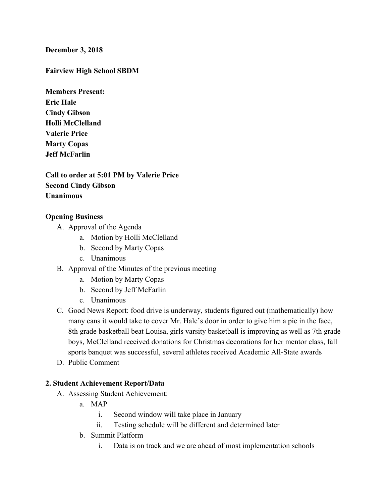#### **December 3, 2018**

#### **Fairview High School SBDM**

**Members Present: Eric Hale Cindy Gibson Holli McClelland Valerie Price Marty Copas Jeff McFarlin**

**Call to order at 5:01 PM by Valerie Price Second Cindy Gibson Unanimous**

#### **Opening Business**

- A. Approval of the Agenda
	- a. Motion by Holli McClelland
	- b. Second by Marty Copas
	- c. Unanimous
- B. Approval of the Minutes of the previous meeting
	- a. Motion by Marty Copas
	- b. Second by Jeff McFarlin
	- c. Unanimous
- C. Good News Report: food drive is underway, students figured out (mathematically) how many cans it would take to cover Mr. Hale's door in order to give him a pie in the face, 8th grade basketball beat Louisa, girls varsity basketball is improving as well as 7th grade boys, McClelland received donations for Christmas decorations for her mentor class, fall sports banquet was successful, several athletes received Academic All-State awards
- D. Public Comment

#### **2. Student Achievement Report/Data**

- A. Assessing Student Achievement:
	- a. MAP
		- i. Second window will take place in January
		- ii. Testing schedule will be different and determined later
	- b. Summit Platform
		- i. Data is on track and we are ahead of most implementation schools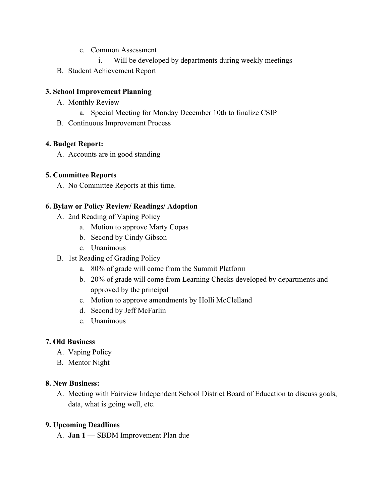- c. Common Assessment
	- i. Will be developed by departments during weekly meetings
- B. Student Achievement Report

## **3. School Improvement Planning**

- A. Monthly Review
	- a. Special Meeting for Monday December 10th to finalize CSIP
- B. Continuous Improvement Process

## **4. Budget Report:**

A. Accounts are in good standing

## **5. Committee Reports**

A. No Committee Reports at this time.

## **6. Bylaw or Policy Review/ Readings/ Adoption**

- A. 2nd Reading of Vaping Policy
	- a. Motion to approve Marty Copas
	- b. Second by Cindy Gibson
	- c. Unanimous
- B. 1st Reading of Grading Policy
	- a. 80% of grade will come from the Summit Platform
	- b. 20% of grade will come from Learning Checks developed by departments and approved by the principal
	- c. Motion to approve amendments by Holli McClelland
	- d. Second by Jeff McFarlin
	- e. Unanimous

# **7. Old Business**

- A. Vaping Policy
- B. Mentor Night

### **8. New Business:**

A. Meeting with Fairview Independent School District Board of Education to discuss goals, data, what is going well, etc.

### **9. Upcoming Deadlines**

A. **Jan 1 —** SBDM Improvement Plan due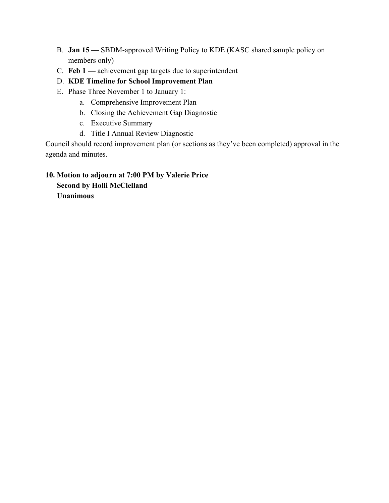- B. **Jan 15 —** SBDM-approved Writing Policy to KDE (KASC shared sample policy on members only)
- C. **Feb 1 —** achievement gap targets due to superintendent
- D. **KDE Timeline for School Improvement Plan**
- E. Phase Three November 1 to January 1:
	- a. Comprehensive Improvement Plan
	- b. Closing the Achievement Gap Diagnostic
	- c. Executive Summary
	- d. Title I Annual Review Diagnostic

Council should record improvement plan (or sections as they've been completed) approval in the agenda and minutes.

# **10. Motion to adjourn at 7:00 PM by Valerie Price Second by Holli McClelland Unanimous**